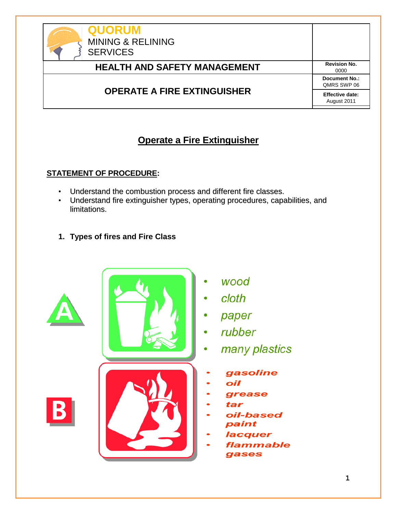| <b>QUORUM</b><br><b>MINING &amp; RELINING</b><br><b>SERVICES</b> |                                       |
|------------------------------------------------------------------|---------------------------------------|
| <b>HEALTH AND SAFETY MANAGEMENT</b>                              | <b>Revision No.</b><br>0000           |
| <b>OPERATE A FIRE EXTINGUISHER</b>                               | <b>Document No.:</b><br>QMRS SWP 06   |
|                                                                  | <b>Effective date:</b><br>August 2011 |

# **Operate a Fire Extinguisher**

## **STATEMENT OF PROCEDURE:**

- Understand the combustion process and different fire classes.
- Understand fire extinguisher types, operating procedures, capabilities, and limitations.
- **1. Types of fires and Fire Class**



- wood
- cloth
- paper
- rubber
- many plastics
- gasoline
- oil
- grease
- tar
- oil-based paint
- lacquer
- **flammable** gases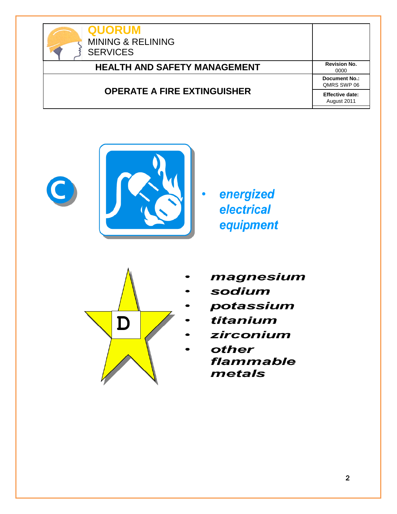



energized electrical equipment



- magnesium
- sodium
- potassium
- titanium
- zirconium
	- other flammable metals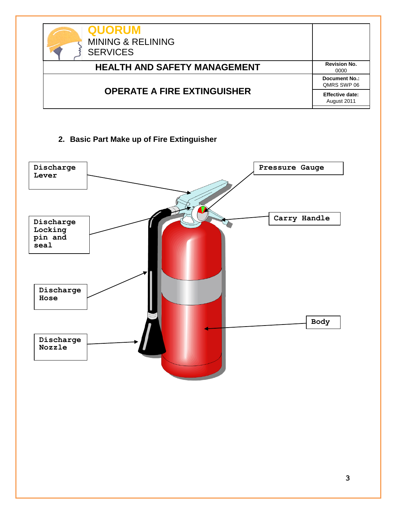| <b>QUORUM</b><br><b>MINING &amp; RELINING</b><br><b>SERVICES</b> |                                       |
|------------------------------------------------------------------|---------------------------------------|
| <b>HEALTH AND SAFETY MANAGEMENT</b>                              | <b>Revision No.</b><br>0000           |
| <b>OPERATE A FIRE EXTINGUISHER</b>                               | <b>Document No.:</b><br>QMRS SWP 06   |
|                                                                  | <b>Effective date:</b><br>August 2011 |

### **2. Basic Part Make up of Fire Extinguisher**

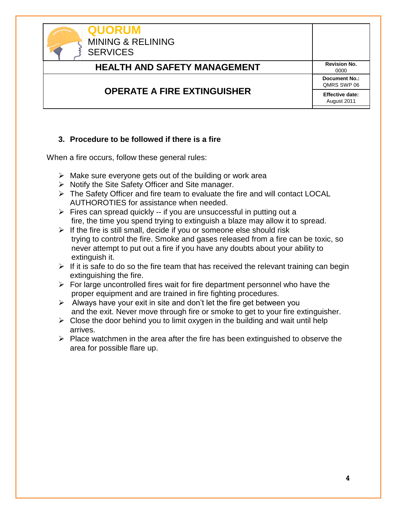

#### **3. Procedure to be followed if there is a fire**

When a fire occurs, follow these general rules:

- $\triangleright$  Make sure everyone gets out of the building or work area
- $\triangleright$  Notify the Site Safety Officer and Site manager.
- The Safety Officer and fire team to evaluate the fire and will contact LOCAL AUTHOROTIES for assistance when needed.
- $\triangleright$  Fires can spread quickly -- if you are unsuccessful in putting out a fire, the time you spend trying to extinguish a blaze may allow it to spread.
- $\triangleright$  If the fire is still small, decide if you or someone else should risk trying to control the fire. Smoke and gases released from a fire can be toxic, so never attempt to put out a fire if you have any doubts about your ability to extinguish it.
- $\triangleright$  If it is safe to do so the fire team that has received the relevant training can begin extinguishing the fire.
- $\triangleright$  For large uncontrolled fires wait for fire department personnel who have the proper equipment and are trained in fire fighting procedures.
- $\triangleright$  Always have your exit in site and don't let the fire get between you and the exit. Never move through fire or smoke to get to your fire extinguisher.
- $\triangleright$  Close the door behind you to limit oxygen in the building and wait until help arrives.
- $\triangleright$  Place watchmen in the area after the fire has been extinguished to observe the area for possible flare up.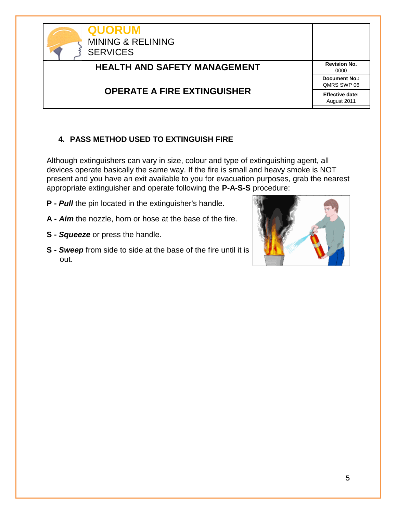| <b>QUORUM</b><br><b>MINING &amp; RELINING</b><br><b>SERVICES</b> |                                     |
|------------------------------------------------------------------|-------------------------------------|
| <b>HEALTH AND SAFETY MANAGEMENT</b>                              | <b>Revision No.</b><br>0000         |
| <b>OPERATE A FIRE EXTINGUISHER</b>                               | <b>Document No.:</b><br>QMRS SWP 06 |
|                                                                  | Effective date:<br>August 2011      |

## **4. PASS METHOD USED TO EXTINGUISH FIRE**

Although extinguishers can vary in size, colour and type of extinguishing agent, all devices operate basically the same way. If the fire is small and heavy smoke is NOT present and you have an exit available to you for evacuation purposes, grab the nearest appropriate extinguisher and operate following the **P-A-S-S** procedure:

**P -** *Pull* the pin located in the extinguisher's handle.

- **A -** *Aim* the nozzle, horn or hose at the base of the fire.
- **S -** *Squeeze* or press the handle.
- **S -** *Sweep* from side to side at the base of the fire until it is out.